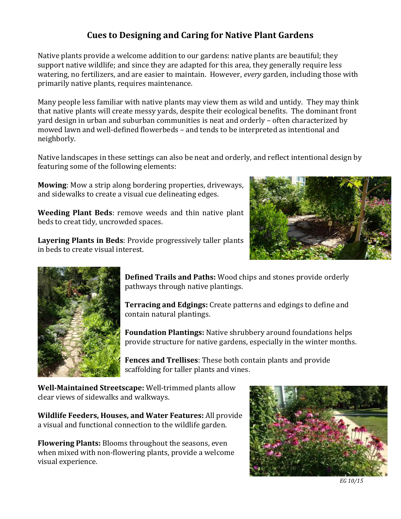## **Cues to Designing and Caring for Native Plant Gardens**

Native plants provide a welcome addition to our gardens: native plants are beautiful; they support native wildlife; and since they are adapted for this area, they generally require less watering, no fertilizers, and are easier to maintain. However, *every* garden, including those with primarily native plants, requires maintenance.

Many people less familiar with native plants may view them as wild and untidy. They may think that native plants will create messy yards, despite their ecological benefits. The dominant front yard design in urban and suburban communities is neat and orderly – often characterized by mowed lawn and well-defined flowerbeds – and tends to be interpreted as intentional and neighborly.

Native landscapes in these settings can also be neat and orderly, and reflect intentional design by featuring some of the following elements:

**Mowing**: Mow a strip along bordering properties, driveways, and sidewalks to create a visual cue delineating edges.

**Weeding Plant Beds**: remove weeds and thin native plant beds to creat tidy, uncrowded spaces.

**Layering Plants in Beds**: Provide progressively taller plants in beds to create visual interest.





**Defined Trails and Paths:** Wood chips and stones provide orderly pathways through native plantings.

**Terracing and Edgings:** Create patterns and edgings to define and contain natural plantings.

**Foundation Plantings:** Native shrubbery around foundations helps provide structure for native gardens, especially in the winter months.

**Fences and Trellises**: These both contain plants and provide scaffolding for taller plants and vines.

**Well-Maintained Streetscape:** Well-trimmed plants allow clear views of sidewalks and walkways.

**Wildlife Feeders, Houses, and Water Features:** All provide a visual and functional connection to the wildlife garden.

**Flowering Plants:** Blooms throughout the seasons, even when mixed with non-flowering plants, provide a welcome visual experience.



*EG 10/15*